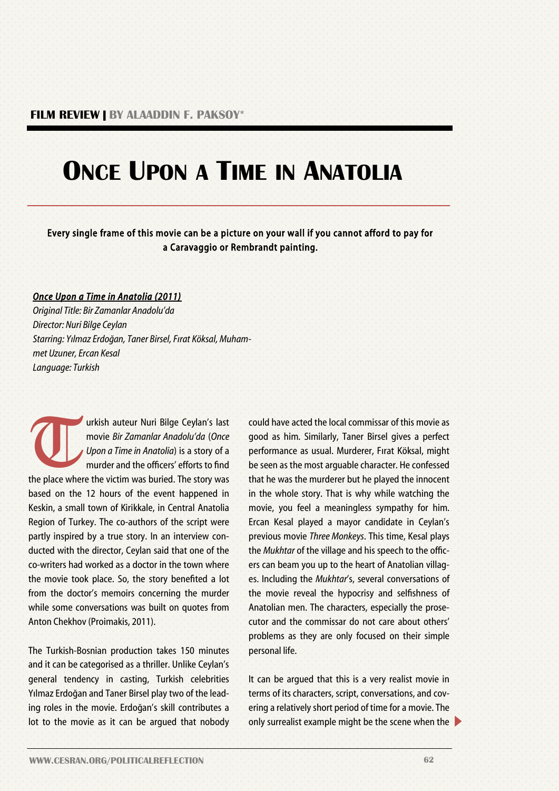## **ONCE UPON A TIME IN ANATOLIA**

Every single frame of this movie can be a picture on your wall if you cannot afford to pay for a Caravaggio or Rembrandt painting.

## *Once Upon a Time in Anatolia (2011)*

*Original Title: Bir Zamanlar Anadolu'da Director: Nuri Bilge Ceylan Starring: Yılmaz Erdoğan, Taner Birsel, Fırat Köksal, Muhammet Uzuner, Ercan Kesal Language: Turkish*

**T** urkish auteur Nuri Bilge Ceylan's last movie *Bir Zamanlar Anadolu'da* (*Once Upon a Time in Anatolia*) is a story of a murder and the officers' efforts to find the place where the victim was buried. The story was based on the 12 hours of the event happened in Keskin, a small town of Kirikkale, in Central Anatolia Region of Turkey. The co-authors of the script were partly inspired by a true story. In an interview conducted with the director, Ceylan said that one of the co-writers had worked as a doctor in the town where the movie took place. So, the story benefited a lot from the doctor's memoirs concerning the murder while some conversations was built on quotes from Anton Chekhov (Proimakis, 2011).

The Turkish-Bosnian production takes 150 minutes and it can be categorised as a thriller. Unlike Ceylan's general tendency in casting, Turkish celebrities Yılmaz Erdoğan and Taner Birsel play two of the leading roles in the movie. Erdoğan's skill contributes a lot to the movie as it can be argued that nobody could have acted the local commissar of this movie as good as him. Similarly, Taner Birsel gives a perfect performance as usual. Murderer, Fırat Köksal, might be seen as the most arguable character. He confessed that he was the murderer but he played the innocent in the whole story. That is why while watching the movie, you feel a meaningless sympathy for him. Ercan Kesal played a mayor candidate in Ceylan's previous movie *Three Monkeys*. This time, Kesal plays the *Mukhtar* of the village and his speech to the officers can beam you up to the heart of Anatolian villages. Including the *Mukhtar*'s, several conversations of the movie reveal the hypocrisy and selfishness of Anatolian men. The characters, especially the prosecutor and the commissar do not care about others' problems as they are only focused on their simple personal life.

It can be argued that this is a very realist movie in terms of its characters, script, conversations, and covering a relatively short period of time for a movie. The only surrealist example might be the scene when the